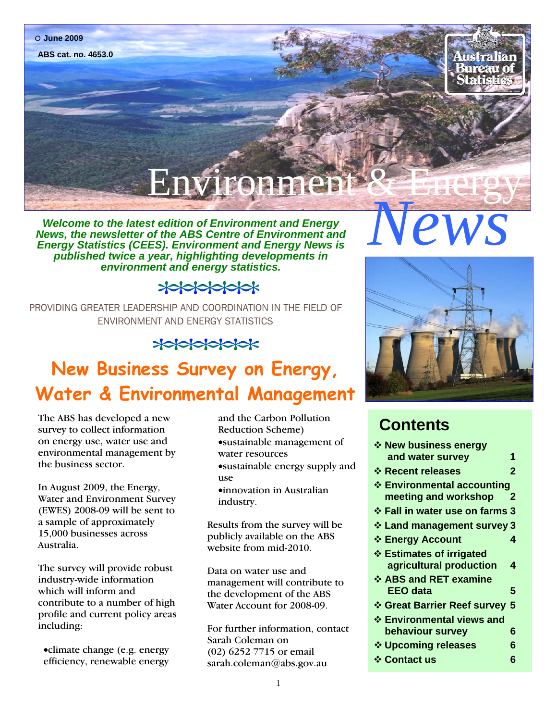#### **June 2009**

**ABS cat. no. 4653.0**

# Environ

*Nelcome to the latest edition of Environment and Energy*<br> *News, the newsletter of the ABS Centre of Environment and*<br> *Energy Statistics (CEES). Environment and Energy News is*<br>
published twice a vear, highlighting devel *News, the newsletter of the ABS Centre of Environment and Energy Statistics (CEES). Environment and Energy News is published twice a year, highlighting developments in environment and energy statistics.* 

#### $\frac{1}{2}$

PROVIDING GREATER LEADERSHIP AND COORDINATION IN THE FIELD OF ENVIRONMENT AND ENERGY STATISTICS

#### $*$

#### **New Business Survey on Energy, Water & Environmental Management**

The ABS has developed a new survey to collect information on energy use, water use and environmental management by the business sector.

In August 2009, the Energy, Water and Environment Survey (EWES) 2008-09 will be sent to a sample of approximately 15,000 businesses across Australia.

The survey will provide robust industry-wide information which will inform and contribute to a number of high profile and current policy areas including:

•climate change (e.g. energy efficiency, renewable energy and the Carbon Pollution Reduction Scheme) •sustainable management of water resources •sustainable energy supply and use

•innovation in Australian industry.

Results from the survey will be publicly available on the ABS website from mid-2010.

Data on water use and management will contribute to the development of the ABS Water Account for 2008-09.

For further information, contact Sarah Coleman on (02) 6252 7715 or email sarah.coleman@abs.gov.au



#### **Contents**

| ❖ New business energy               |
|-------------------------------------|
| and water survey<br>1               |
| ❖ Recent releases<br>2              |
| ❖ Environmental accounting          |
| meeting and workshop<br>$\mathbf 2$ |
| ❖ Fall in water use on farms 3      |
| ❖ Land management survey 3          |
| ❖ Energy Account<br>4               |
| ❖ Estimates of irrigated            |
| agricultural production<br>4        |
| ❖ ABS and RET examine               |
| EEO data<br>5                       |
| ❖ Great Barrier Reef survey 5       |
| ❖ Environmental views and           |
| behaviour survey<br>6               |
| ❖ Upcoming releases<br>6            |
| ❖ Contact us<br>6                   |
|                                     |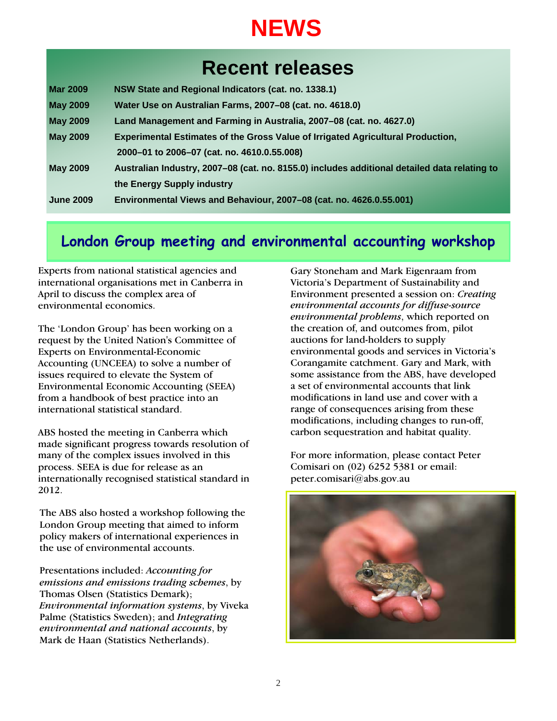## **NEWS**

#### **Recent releases**

| <b>Mar 2009</b>  | NSW State and Regional Indicators (cat. no. 1338.1)                                          |  |
|------------------|----------------------------------------------------------------------------------------------|--|
| <b>May 2009</b>  | Water Use on Australian Farms, 2007-08 (cat. no. 4618.0)                                     |  |
| <b>May 2009</b>  | Land Management and Farming in Australia, 2007-08 (cat. no. 4627.0)                          |  |
| <b>May 2009</b>  | <b>Experimental Estimates of the Gross Value of Irrigated Agricultural Production,</b>       |  |
|                  | 2000-01 to 2006-07 (cat. no. 4610.0.55.008)                                                  |  |
| <b>May 2009</b>  | Australian Industry, 2007-08 (cat. no. 8155.0) includes additional detailed data relating to |  |
|                  | the Energy Supply industry                                                                   |  |
| <b>June 2009</b> | Environmental Views and Behaviour, 2007-08 (cat. no. 4626.0.55.001)                          |  |

#### **London Group meeting and environmental accounting workshop**

Experts from national statistical agencies and international organisations met in Canberra in April to discuss the complex area of environmental economics.

The 'London Group' has been working on a request by the United Nation's Committee of Experts on Environmental-Economic Accounting (UNCEEA) to solve a number of issues required to elevate the System of Environmental Economic Accounting (SEEA) from a handbook of best practice into an international statistical standard.

ABS hosted the meeting in Canberra which made significant progress towards resolution of many of the complex issues involved in this process. SEEA is due for release as an internationally recognised statistical standard in 2012.

The ABS also hosted a workshop following the London Group meeting that aimed to inform policy makers of international experiences in the use of environmental accounts.

Presentations included: *Accounting for emissions and emissions trading schemes*, by Thomas Olsen (Statistics Demark); *Environmental information systems*, by Viveka Palme (Statistics Sweden); and *Integrating environmental and national accounts*, by Mark de Haan (Statistics Netherlands).

Gary Stoneham and Mark Eigenraam from Victoria's Department of Sustainability and Environment presented a session on: *Creating environmental accounts for diffuse-source environmental problems*, which reported on the creation of, and outcomes from, pilot auctions for land-holders to supply environmental goods and services in Victoria's Corangamite catchment. Gary and Mark, with some assistance from the ABS, have developed a set of environmental accounts that link modifications in land use and cover with a range of consequences arising from these modifications, including changes to run-off, carbon sequestration and habitat quality.

For more information, please contact Peter Comisari on (02) 6252 5381 or email: peter.comisari@abs.gov.au

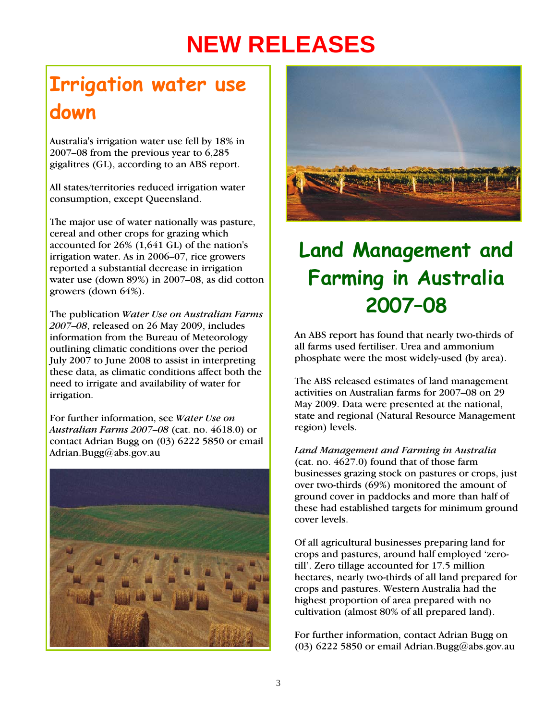# **NEW RELEASES**

## **Irrigation water use down**

Australia's irrigation water use fell by 18% in 2007–08 from the previous year to 6,285 gigalitres (GL), according to an ABS report.

All states/territories reduced irrigation water consumption, except Queensland.

The major use of water nationally was pasture, cereal and other crops for grazing which accounted for 26% (1,641 GL) of the nation's irrigation water. As in 2006–07, rice growers reported a substantial decrease in irrigation water use (down 89%) in 2007–08, as did cotton growers (down 64%).

The publication *Water Use on Australian Farms 2007*–*08*, released on 26 May 2009, includes information from the Bureau of Meteorology outlining climatic conditions over the period July 2007 to June 2008 to assist in interpreting these data, as climatic conditions affect both the need to irrigate and availability of water for irrigation.

For further information, see *Water Use on Australian Farms 2007*–*08* (cat. no. 4618.0) or contact Adrian Bugg on (03) 6222 5850 or email Adrian.Bugg@abs.gov.au





## **Land Management and Farming in Australia 2007–08**

An ABS report has found that nearly two-thirds of all farms used fertiliser. Urea and ammonium phosphate were the most widely-used (by area).

The ABS released estimates of land management activities on Australian farms for 2007–08 on 29 May 2009. Data were presented at the national, state and regional (Natural Resource Management region) levels.

*Land Management and Farming in Australia* (cat. no. 4627.0) found that of those farm businesses grazing stock on pastures or crops, just over two-thirds (69%) monitored the amount of ground cover in paddocks and more than half of these had established targets for minimum ground cover levels.

Of all agricultural businesses preparing land for crops and pastures, around half employed 'zerotill'. Zero tillage accounted for 17.5 million hectares, nearly two-thirds of all land prepared for crops and pastures. Western Australia had the highest proportion of area prepared with no cultivation (almost 80% of all prepared land).

For further information, contact Adrian Bugg on (03) 6222 5850 or email [Adrian.Bugg@abs.gov.au](mailto:Adrian.Bugg@abs.gov.au)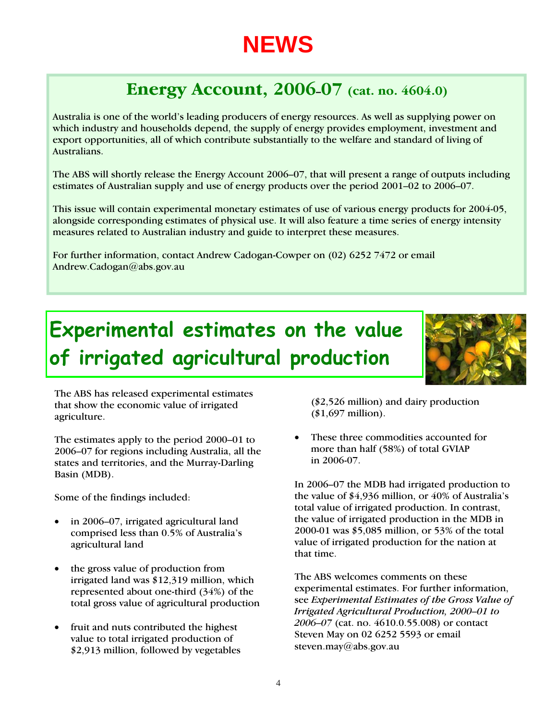## **NEWS**

#### **Energy Account, 2006–07 (cat. no. 4604.0)**

Australia is one of the world's leading producers of energy resources. As well as supplying power on which industry and households depend, the supply of energy provides employment, investment and export opportunities, all of which contribute substantially to the welfare and standard of living of Australians.

The ABS will shortly release the Energy Account 2006–07, that will present a range of outputs including estimates of Australian supply and use of energy products over the period 2001–02 to 2006–07.

This issue will contain experimental monetary estimates of use of various energy products for 2004-05, alongside corresponding estimates of physical use. It will also feature a time series of energy intensity measures related to Australian industry and guide to interpret these measures.

For further information, contact Andrew Cadogan-Cowper on (02) 6252 7472 or email Andrew.Cadogan@abs.gov.au

## **Experimental estimates on the value of irrigated agricultural production**



The ABS has released experimental estimates that show the economic value of irrigated agriculture.

The estimates apply to the period 2000–01 to 2006–07 for regions including Australia, all the states and territories, and the Murray-Darling Basin (MDB).

Some of the findings included:

- in 2006–07, irrigated agricultural land comprised less than 0.5% of Australia's agricultural land
- the gross value of production from irrigated land was \$12,319 million, which represented about one-third (34%) of the total gross value of agricultural production
- fruit and nuts contributed the highest value to total irrigated production of \$2,913 million, followed by vegetables

(\$2,526 million) and dairy production (\$1,697 million).

• These three commodities accounted for more than half (58%) of total GVIAP in 2006-07.

In 2006–07 the MDB had irrigated production to the value of \$4,936 million, or 40% of Australia's total value of irrigated production. In contrast, the value of irrigated production in the MDB in 2000-01 was \$5,085 million, or 53% of the total value of irrigated production for the nation at that time.

The ABS welcomes comments on these experimental estimates. For further information, see *Experimental Estimates of the Gross Value of Irrigated Agricultural Production, 2000–01 to 2006–07* (cat. no. 4610.0.55.008) or contact Steven May on 02 6252 5593 or email [steven.may@abs.gov.au](mailto:steven.may@abs.gov.au)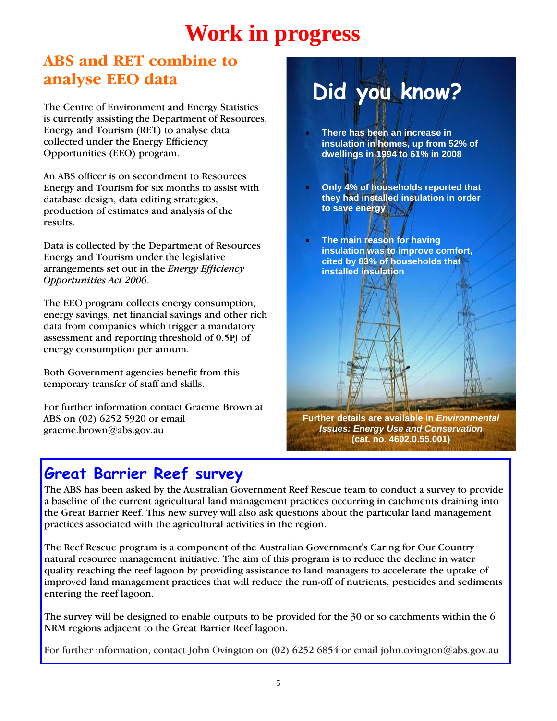## **Work in progress**

#### **ABS and RET combine to analyse EEO data**

The Centre of Environment and Energy Statistics is currently assisting the Department of Resources, Energy and Tourism (RET) to analyse data collected under the Energy Efficiency Opportunities (EEO) program.

An ABS officer is on secondment to Resources Energy and Tourism for six months to assist with database design, data editing strategies, production of estimates and analysis of the results.

Data is collected by the Department of Resources Energy and Tourism under the legislative arrangements set out in the *Energy Efficiency Opportunities Act 2006*.

The EEO program collects energy consumption, energy savings, net financial savings and other rich data from companies which trigger a mandatory assessment and reporting threshold of 0.5PJ of energy consumption per annum.

Both Government agencies benefit from this temporary transfer of staff and skills.

For further information contact Graeme Brown at ABS on (02) 6252 5920 or email graeme.brown@abs.gov.au

# **Did you know?**

- **There has been an increase in insulation in homes, up from 52% of dwellings in 1994 to 61% in 2008**
- **Only 4% of households reported that they had installed insulation in order to save energy**
- **The main reason for having insulation was to improve comfort, cited by 83% of households that installed insulation**

**Further details are available in** *Environmental Issues: Energy Use and Conservation* **(cat. no. 4602.0.55.001)**

#### **Great Barrier Reef survey**

The ABS has been asked by the Australian Government Reef Rescue team to conduct a survey to provide a baseline of the current agricultural land management practices occurring in catchments draining into the Great Barrier Reef. This new survey will also ask questions about the particular land management practices associated with the agricultural activities in the region.

The Reef Rescue program is a component of the Australian Government's Caring for Our Country natural resource management initiative. The aim of this program is to reduce the decline in water quality reaching the reef lagoon by providing assistance to land managers to accelerate the uptake of improved land management practices that will reduce the run-off of nutrients, pesticides and sediments entering the reef lagoon.

The survey will be designed to enable outputs to be provided for the 30 or so catchments within the 6 NRM regions adjacent to the Great Barrier Reef lagoon.

For further information, contact John Ovington on (02) 6252 6854 or email john.ovington@abs.gov.au